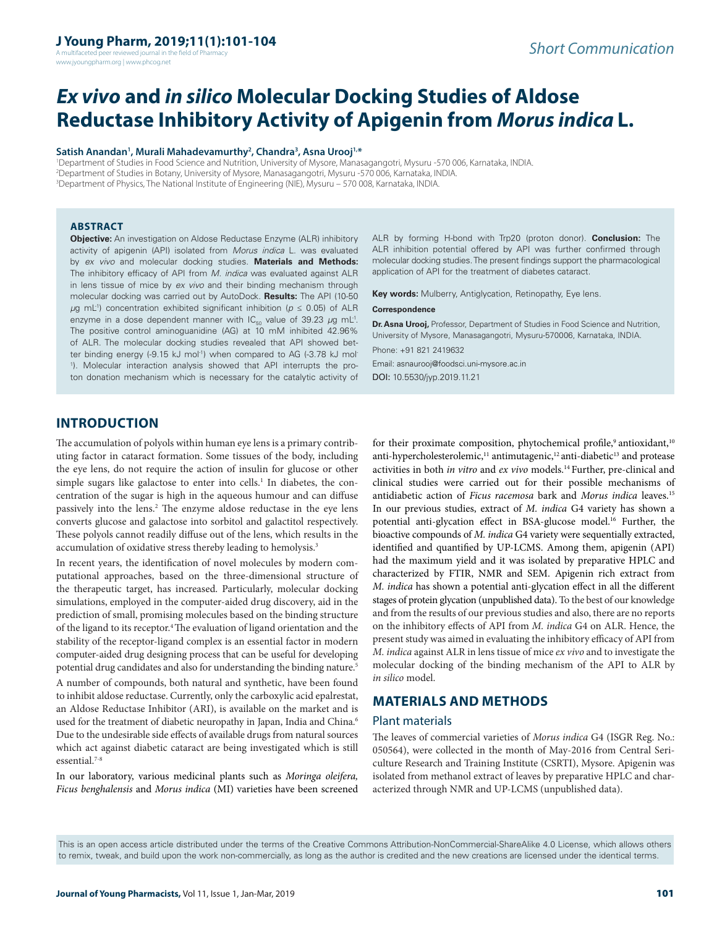A multifaceted peer reviewed journal in the field of Pharmacy www.jyoungpharm.org | www.phcog.net

# *Ex vivo* **and** *in silico* **Molecular Docking Studies of Aldose Reductase Inhibitory Activity of Apigenin from** *Morus indica* **L.**

#### **Satish Anandan1 , Murali Mahadevamurthy2 , Chandra3 , Asna Urooj1,\***

1 Department of Studies in Food Science and Nutrition, University of Mysore, Manasagangotri, Mysuru -570 006, Karnataka, INDIA. 2 Department of Studies in Botany, University of Mysore, Manasagangotri, Mysuru -570 006, Karnataka, INDIA. 3 Department of Physics, The National Institute of Engineering (NIE), Mysuru – 570 008, Karnataka, INDIA.

#### **ABSTRACT**

**Objective:** An investigation on Aldose Reductase Enzyme (ALR) inhibitory activity of apigenin (API) isolated from *Morus indica* L. was evaluated by *ex vivo* and molecular docking studies. **Materials and Methods:**  The inhibitory efficacy of API from *M. indica* was evaluated against ALR in lens tissue of mice by *ex vivo* and their binding mechanism through molecular docking was carried out by AutoDock. **Results:** The API (10-50 *μ*g mL<sup>-1</sup>) concentration exhibited significant inhibition (*p* ≤ 0.05) of ALR enzyme in a dose dependent manner with  $IC_{F0}$  value of 39.23  $\mu$ g mL<sup>-1</sup>. The positive control aminoguanidine (AG) at 10 mM inhibited 42.96% of ALR. The molecular docking studies revealed that API showed better binding energy (-9.15 kJ mol<sup>-1</sup>) when compared to AG (-3.78 kJ mol-1 ). Molecular interaction analysis showed that API interrupts the proton donation mechanism which is necessary for the catalytic activity of

ALR by forming H-bond with Trp20 (proton donor). **Conclusion:** The ALR inhibition potential offered by API was further confirmed through molecular docking studies. The present findings support the pharmacological application of API for the treatment of diabetes cataract.

**Key words:** Mulberry, Antiglycation, Retinopathy, Eye lens.

#### **Correspondence**

**Dr. Asna Urooj,** Professor, Department of Studies in Food Science and Nutrition, University of Mysore, Manasagangotri, Mysuru-570006, Karnataka, INDIA.

Phone: +91 821 2419632 Email: asnaurooj@foodsci.uni-mysore.ac.in DOI: 10.5530/jyp.2019.11.21

# **INTRODUCTION**

The accumulation of polyols within human eye lens is a primary contributing factor in cataract formation. Some tissues of the body, including the eye lens, do not require the action of insulin for glucose or other simple sugars like galactose to enter into cells.<sup>1</sup> In diabetes, the concentration of the sugar is high in the aqueous humour and can diffuse passively into the lens.<sup>2</sup> The enzyme aldose reductase in the eye lens converts glucose and galactose into sorbitol and galactitol respectively. These polyols cannot readily diffuse out of the lens, which results in the accumulation of oxidative stress thereby leading to hemolysis.<sup>3</sup>

In recent years, the identification of novel molecules by modern computational approaches, based on the three-dimensional structure of the therapeutic target, has increased. Particularly, molecular docking simulations, employed in the computer-aided drug discovery, aid in the prediction of small, promising molecules based on the binding structure of the ligand to its receptor.4 The evaluation of ligand orientation and the stability of the receptor-ligand complex is an essential factor in modern computer-aided drug designing process that can be useful for developing potential drug candidates and also for understanding the binding nature.5

A number of compounds, both natural and synthetic, have been found to inhibit aldose reductase. Currently, only the carboxylic acid epalrestat, an Aldose Reductase Inhibitor (ARI), is available on the market and is used for the treatment of diabetic neuropathy in Japan, India and China.<sup>6</sup> Due to the undesirable side effects of available drugs from natural sources which act against diabetic cataract are being investigated which is still essential.7-8

In our laboratory, various medicinal plants such as *Moringa oleifera, Ficus benghalensis* and *Morus indica* (MI) varieties have been screened for their proximate composition, phytochemical profile,<sup>9</sup> antioxidant,<sup>10</sup> anti-hypercholesterolemic,<sup>11</sup> antimutagenic,<sup>12</sup> anti-diabetic<sup>13</sup> and protease activities in both *in vitro* and *ex vivo* models.14 Further, pre-clinical and clinical studies were carried out for their possible mechanisms of antidiabetic action of *Ficus racemosa* bark and *Morus indica* leaves.15 In our previous studies, extract of *M. indica* G4 variety has shown a potential anti-glycation effect in BSA-glucose model.16 Further, the bioactive compounds of *M. indica* G4 variety were sequentially extracted, identified and quantified by UP-LCMS. Among them, apigenin (API) had the maximum yield and it was isolated by preparative HPLC and characterized by FTIR, NMR and SEM. Apigenin rich extract from *M. indica* has shown a potential anti-glycation effect in all the different stages of protein glycation (unpublished data). To the best of our knowledge and from the results of our previous studies and also, there are no reports on the inhibitory effects of API from *M. indica* G4 on ALR. Hence, the present study was aimed in evaluating the inhibitory efficacy of API from *M. indica* against ALR in lens tissue of mice *ex vivo* and to investigate the molecular docking of the binding mechanism of the API to ALR by *in silico* model.

# **MATERIALS AND METHODS**

#### Plant materials

The leaves of commercial varieties of *Morus indica* G4 (ISGR Reg. No.: 050564), were collected in the month of May-2016 from Central Sericulture Research and Training Institute (CSRTI), Mysore. Apigenin was isolated from methanol extract of leaves by preparative HPLC and characterized through NMR and UP-LCMS (unpublished data).

This is an open access article distributed under the terms of the Creative Commons Attribution-NonCommercial-ShareAlike 4.0 License, which allows others to remix, tweak, and build upon the work non-commercially, as long as the author is credited and the new creations are licensed under the identical terms.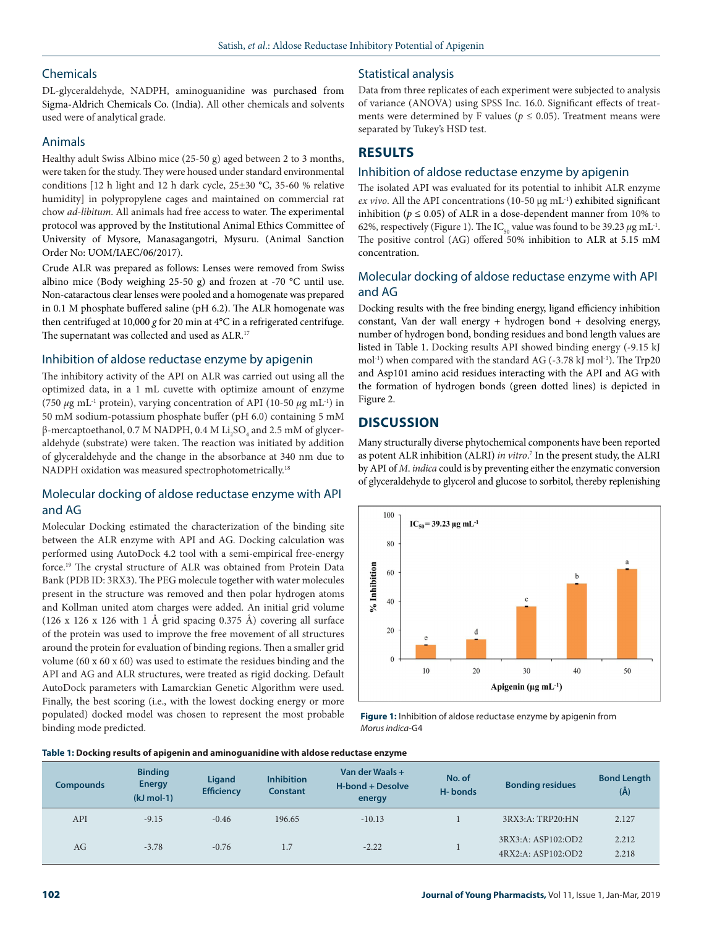# **Chemicals**

### DL-glyceraldehyde, NADPH, aminoguanidine was purchased from Sigma-Aldrich Chemicals Co. (India). All other chemicals and solvents used were of analytical grade.

## Animals

Healthy adult Swiss Albino mice (25-50 g) aged between 2 to 3 months, were taken for the study. They were housed under standard environmental conditions [12 h light and 12 h dark cycle, 25±30 °C, 35-60 % relative humidity] in polypropylene cages and maintained on commercial rat chow *ad-libitum*. All animals had free access to water. The experimental protocol was approved by the Institutional Animal Ethics Committee of University of Mysore, Manasagangotri, Mysuru. (Animal Sanction Order No: UOM/IAEC/06/2017).

Crude ALR was prepared as follows: Lenses were removed from Swiss albino mice (Body weighing 25-50 g) and frozen at -70 °C until use. Non-cataractous clear lenses were pooled and a homogenate was prepared in 0.1 M phosphate buffered saline (pH 6.2). The ALR homogenate was then centrifuged at 10,000 *g* for 20 min at 4°C in a refrigerated centrifuge. The supernatant was collected and used as ALR.<sup>17</sup>

### Inhibition of aldose reductase enzyme by apigenin

The inhibitory activity of the API on ALR was carried out using all the optimized data, in a 1 mL cuvette with optimize amount of enzyme (750  $\mu$ g mL<sup>-1</sup> protein), varying concentration of API (10-50  $\mu$ g mL<sup>-1</sup>) in 50 mM sodium-potassium phosphate buffer (pH 6.0) containing 5 mM β-mercaptoethanol, 0.7 M NADPH, 0.4 M  $\rm Li_2SO_4$  and 2.5 mM of glyceraldehyde (substrate) were taken. The reaction was initiated by addition of glyceraldehyde and the change in the absorbance at 340 nm due to NADPH oxidation was measured spectrophotometrically.<sup>18</sup>

# Molecular docking of aldose reductase enzyme with API and AG

Molecular Docking estimated the characterization of the binding site between the ALR enzyme with API and AG. Docking calculation was performed using AutoDock 4.2 tool with a semi-empirical free-energy force.19 The crystal structure of ALR was obtained from Protein Data Bank (PDB ID: 3RX3). The PEG molecule together with water molecules present in the structure was removed and then polar hydrogen atoms and Kollman united atom charges were added. An initial grid volume (126 x 126 x 126 with 1 Å grid spacing 0.375 Å) covering all surface of the protein was used to improve the free movement of all structures around the protein for evaluation of binding regions. Then a smaller grid volume (60 x 60 x 60) was used to estimate the residues binding and the API and AG and ALR structures, were treated as rigid docking. Default AutoDock parameters with Lamarckian Genetic Algorithm were used. Finally, the best scoring (i.e., with the lowest docking energy or more populated) docked model was chosen to represent the most probable binding mode predicted.

# Statistical analysis

Data from three replicates of each experiment were subjected to analysis of variance (ANOVA) using SPSS Inc. 16.0. Significant effects of treatments were determined by F values ( $p \le 0.05$ ). Treatment means were separated by Tukey's HSD test.

# **RESULTS**

### Inhibition of aldose reductase enzyme by apigenin

The isolated API was evaluated for its potential to inhibit ALR enzyme  $ex vivo$ . All the API concentrations (10-50  $\mu$ g mL<sup>-1</sup>) exhibited significant inhibition ( $p \le 0.05$ ) of ALR in a dose-dependent manner from 10% to 62%, respectively (Figure 1). The IC<sub>50</sub> value was found to be 39.23  $\mu$ g mL<sup>-1</sup>. The positive control (AG) offered 50% inhibition to ALR at 5.15 mM concentration.

# Molecular docking of aldose reductase enzyme with API and AG

Docking results with the free binding energy, ligand efficiency inhibition constant, Van der wall energy + hydrogen bond + desolving energy, number of hydrogen bond, bonding residues and bond length values are listed in Table 1. Docking results API showed binding energy (-9.15 kJ mol<sup>-1</sup>) when compared with the standard AG (-3.78 kJ mol<sup>-1</sup>). The Trp20 and Asp101 amino acid residues interacting with the API and AG with the formation of hydrogen bonds (green dotted lines) is depicted in Figure 2.

# **DISCUSSION**

Many structurally diverse phytochemical components have been reported as potent ALR inhibition (ALRI) *in vitro*.<sup>7</sup> In the present study, the ALRI by API of *M*. *indica* could is by preventing either the enzymatic conversion of glyceraldehyde to glycerol and glucose to sorbitol, thereby replenishing



**Figure 1:** Inhibition of aldose reductase enzyme by apigenin from *Morus indica*-G4

#### **Table 1: Docking results of apigenin and aminoguanidine with aldose reductase enzyme**

| <b>Compounds</b> | <b>Binding</b><br><b>Energy</b><br>$(kJ \text{ mol-1})$ | Ligand<br><b>Efficiency</b> | <b>Inhibition</b><br><b>Constant</b> | Van der Waals +<br><b>H-bond + Desolve</b><br>energy | No. of<br>H-bonds | <b>Bonding residues</b>                  | <b>Bond Length</b><br>$(\AA)$ |
|------------------|---------------------------------------------------------|-----------------------------|--------------------------------------|------------------------------------------------------|-------------------|------------------------------------------|-------------------------------|
| API              | $-9.15$                                                 | $-0.46$                     | 196.65                               | $-10.13$                                             |                   | 3RX3:A: TRP20:HN                         | 2.127                         |
| AG               | $-3.78$                                                 | $-0.76$                     | 1.7                                  | $-2.22$                                              |                   | 3RX3:A: ASP102:OD2<br>4RX2:A: ASP102:OD2 | 2.212<br>2.218                |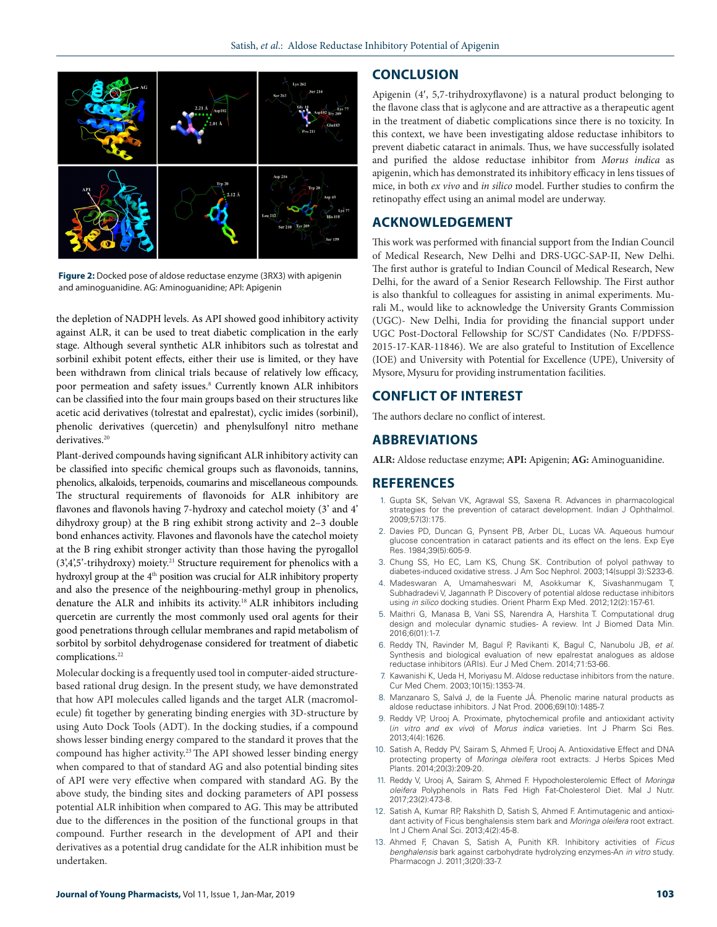

**Figure 2:** Docked pose of aldose reductase enzyme (3RX3) with apigenin and aminoguanidine. AG: Aminoguanidine; API: Apigenin

the depletion of NADPH levels. As API showed good inhibitory activity against ALR, it can be used to treat diabetic complication in the early stage. Although several synthetic ALR inhibitors such as tolrestat and sorbinil exhibit potent effects, either their use is limited, or they have been withdrawn from clinical trials because of relatively low efficacy, poor permeation and safety issues.<sup>8</sup> Currently known ALR inhibitors can be classified into the four main groups based on their structures like acetic acid derivatives (tolrestat and epalrestat), cyclic imides (sorbinil), phenolic derivatives (quercetin) and phenylsulfonyl nitro methane derivatives.<sup>20</sup>

Plant-derived compounds having significant ALR inhibitory activity can be classified into specific chemical groups such as flavonoids, tannins, phenolics, alkaloids, terpenoids, coumarins and miscellaneous compounds. The structural requirements of flavonoids for ALR inhibitory are flavones and flavonols having 7-hydroxy and catechol moiety (3' and 4' dihydroxy group) at the B ring exhibit strong activity and 2–3 double bond enhances activity. Flavones and flavonols have the catechol moiety at the B ring exhibit stronger activity than those having the pyrogallol  $(3,4,5)$ -trihydroxy) moiety.<sup>21</sup> Structure requirement for phenolics with a hydroxyl group at the 4<sup>th</sup> position was crucial for ALR inhibitory property and also the presence of the neighbouring-methyl group in phenolics, denature the ALR and inhibits its activity.18 ALR inhibitors including quercetin are currently the most commonly used oral agents for their good penetrations through cellular membranes and rapid metabolism of sorbitol by sorbitol dehydrogenase considered for treatment of diabetic complications.<sup>22</sup>

Molecular docking is a frequently used tool in computer-aided structurebased rational drug design. In the present study, we have demonstrated that how API molecules called ligands and the target ALR (macromolecule) fit together by generating binding energies with 3D-structure by using Auto Dock Tools (ADT). In the docking studies, if a compound shows lesser binding energy compared to the standard it proves that the compound has higher activity.<sup>23</sup> The API showed lesser binding energy when compared to that of standard AG and also potential binding sites of API were very effective when compared with standard AG. By the above study, the binding sites and docking parameters of API possess potential ALR inhibition when compared to AG. This may be attributed due to the differences in the position of the functional groups in that compound. Further research in the development of API and their derivatives as a potential drug candidate for the ALR inhibition must be undertaken.

### **CONCLUSION**

Apigenin (4′, 5,7-trihydroxyflavone) is a natural product belonging to the flavone class that is aglycone and are attractive as a therapeutic agent in the treatment of diabetic complications since there is no toxicity. In this context, we have been investigating aldose reductase inhibitors to prevent diabetic cataract in animals. Thus, we have successfully isolated and purified the aldose reductase inhibitor from *Morus indica* as apigenin, which has demonstrated its inhibitory efficacy in lens tissues of mice, in both *ex vivo* and *in silico* model. Further studies to confirm the retinopathy effect using an animal model are underway.

### **ACKNOWLEDGEMENT**

This work was performed with financial support from the Indian Council of Medical Research, New Delhi and DRS-UGC-SAP-II, New Delhi. The first author is grateful to Indian Council of Medical Research, New Delhi, for the award of a Senior Research Fellowship. The First author is also thankful to colleagues for assisting in animal experiments. Murali M., would like to acknowledge the University Grants Commission (UGC)- New Delhi, India for providing the financial support under UGC Post-Doctoral Fellowship for SC/ST Candidates (No. F/PDFSS-2015-17-KAR-11846). We are also grateful to Institution of Excellence (IOE) and University with Potential for Excellence (UPE), University of Mysore, Mysuru for providing instrumentation facilities.

### **CONFLICT OF INTEREST**

The authors declare no conflict of interest.

### **ABBREVIATIONS**

**ALR:** Aldose reductase enzyme; **API:** Apigenin; **AG:** Aminoguanidine.

#### **REFERENCES**

- 1. Gupta SK, Selvan VK, Agrawal SS, Saxena R. Advances in pharmacological strategies for the prevention of cataract development. Indian J Ophthalmol. 2009;57(3):175.
- 2. Davies PD, Duncan G, Pynsent PB, Arber DL, Lucas VA. Aqueous humour glucose concentration in cataract patients and its effect on the lens. Exp Eye Res. 1984;39(5):605-9.
- 3. Chung SS, Ho EC, Lam KS, Chung SK. Contribution of polyol pathway to diabetes-induced oxidative stress. J Am Soc Nephrol. 2003;14(suppl 3):S233-6.
- 4. Madeswaran A, Umamaheswari M, Asokkumar K, Sivashanmugam T, Subhadradevi V, Jagannath P. Discovery of potential aldose reductase inhibitors using *in silico* docking studies. Orient Pharm Exp Med. 2012;12(2):157-61.
- 5. Maithri G, Manasa B, Vani SS, Narendra A, Harshita T. Computational drug design and molecular dynamic studies- A review. Int J Biomed Data Min. 2016;6(01):1-7.
- 6. Reddy TN, Ravinder M, Bagul P, Ravikanti K, Bagul C, Nanubolu JB, *et al.* Synthesis and biological evaluation of new epalrestat analogues as aldose reductase inhibitors (ARIs). Eur J Med Chem. 2014;71:53-66.
- 7. Kawanishi K, Ueda H, Moriyasu M. Aldose reductase inhibitors from the nature. Cur Med Chem. 2003;10(15):1353-74.
- 8. Manzanaro S, Salvá J, de la Fuente JÁ. Phenolic marine natural products as aldose reductase inhibitors. J Nat Prod. 2006;69(10):1485-7.
- 9. Reddy VP, Urooj A. Proximate, phytochemical profile and antioxidant activity (*in vitro and ex vivo*) of *Morus indica* varieties. Int J Pharm Sci Res. 2013;4(4):1626.
- 10. Satish A, Reddy PV, Sairam S, Ahmed F, Urooj A. Antioxidative Effect and DNA protecting property of *Moringa oleifera* root extracts. J Herbs Spices Med Plants. 2014;20(3):209-20.
- 11. Reddy V, Urooj A, Sairam S, Ahmed F. Hypocholesterolemic Effect of *Moringa oleifera* Polyphenols in Rats Fed High Fat-Cholesterol Diet. Mal J Nutr. 2017;23(2):473-8.
- 12. Satish A, Kumar RP, Rakshith D, Satish S, Ahmed F. Antimutagenic and antioxidant activity of Ficus benghalensis stem bark and *Moringa oleifera* root extract. Int J Chem Anal Sci. 2013;4(2):45-8.
- 13. Ahmed F, Chavan S, Satish A, Punith KR. Inhibitory activities of *Ficus benghalensis* bark against carbohydrate hydrolyzing enzymes-An *in vitro* study. Pharmacogn J. 2011;3(20):33-7.